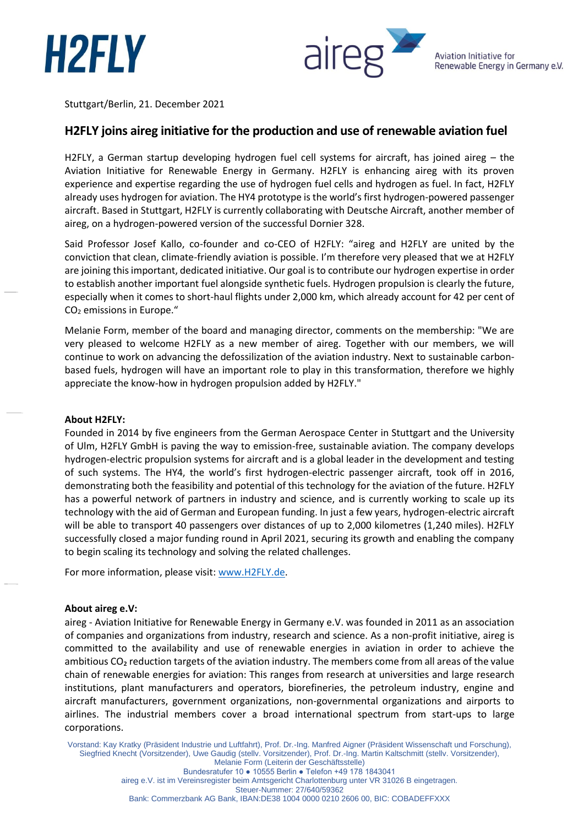



Stuttgart/Berlin, 21. December 2021

# **H2FLY joins aireg initiative for the production and use of renewable aviation fuel**

H2FLY, a German startup developing hydrogen fuel cell systems for aircraft, has joined aireg - the Aviation Initiative for Renewable Energy in Germany. H2FLY is enhancing aireg with its proven experience and expertise regarding the use of hydrogen fuel cells and hydrogen as fuel. In fact, H2FLY already uses hydrogen for aviation. The HY4 prototype is the world's first hydrogen-powered passenger aircraft. Based in Stuttgart, H2FLY is currently collaborating with Deutsche Aircraft, another member of aireg, on a hydrogen-powered version of the successful Dornier 328.

Said Professor Josef Kallo, co-founder and co-CEO of H2FLY: "aireg and H2FLY are united by the conviction that clean, climate-friendly aviation is possible. I'm therefore very pleased that we at H2FLY are joining this important, dedicated initiative. Our goal is to contribute our hydrogen expertise in order to establish another important fuel alongside synthetic fuels. Hydrogen propulsion is clearly the future, especially when it comes to short-haul flights under 2,000 km, which already account for 42 per cent of CO<sup>2</sup> emissions in Europe."

Melanie Form, member of the board and managing director, comments on the membership: "We are very pleased to welcome H2FLY as a new member of aireg. Together with our members, we will continue to work on advancing the defossilization of the aviation industry. Next to sustainable carbonbased fuels, hydrogen will have an important role to play in this transformation, therefore we highly appreciate the know-how in hydrogen propulsion added by H2FLY."

#### **About H2FLY:**

Founded in 2014 by five engineers from the German Aerospace Center in Stuttgart and the University of Ulm, H2FLY GmbH is paving the way to emission-free, sustainable aviation. The company develops hydrogen-electric propulsion systems for aircraft and is a global leader in the development and testing of such systems. The HY4, the world's first hydrogen-electric passenger aircraft, took off in 2016, demonstrating both the feasibility and potential of this technology for the aviation of the future. H2FLY has a powerful network of partners in industry and science, and is currently working to scale up its technology with the aid of German and European funding. In just a few years, hydrogen-electric aircraft will be able to transport 40 passengers over distances of up to 2,000 kilometres (1,240 miles). H2FLY successfully closed a major funding round in April 2021, securing its growth and enabling the company to begin scaling its technology and solving the related challenges.

For more information, please visit[: www.H2FLY.de.](http://www.h2fly.de/)

## **About aireg e.V:**

aireg - Aviation Initiative for Renewable Energy in Germany e.V. was founded in 2011 as an association of companies and organizations from industry, research and science. As a non-profit initiative, aireg is committed to the availability and use of renewable energies in aviation in order to achieve the ambitious CO<sub>2</sub> reduction targets of the aviation industry. The members come from all areas of the value chain of renewable energies for aviation: This ranges from research at universities and large research institutions, plant manufacturers and operators, biorefineries, the petroleum industry, engine and aircraft manufacturers, government organizations, non-governmental organizations and airports to airlines. The industrial members cover a broad international spectrum from start-ups to large corporations.

Vorstand: Kay Kratky (Präsident Industrie und Luftfahrt), Prof. Dr.-Ing. Manfred Aigner (Präsident Wissenschaft und Forschung), Siegfried Knecht (Vorsitzender), Uwe Gaudig (stellv. Vorsitzender), Prof. Dr.-Ing. Martin Kaltschmitt (stellv. Vorsitzender), Melanie Form (Leiterin der Geschäftsstelle)